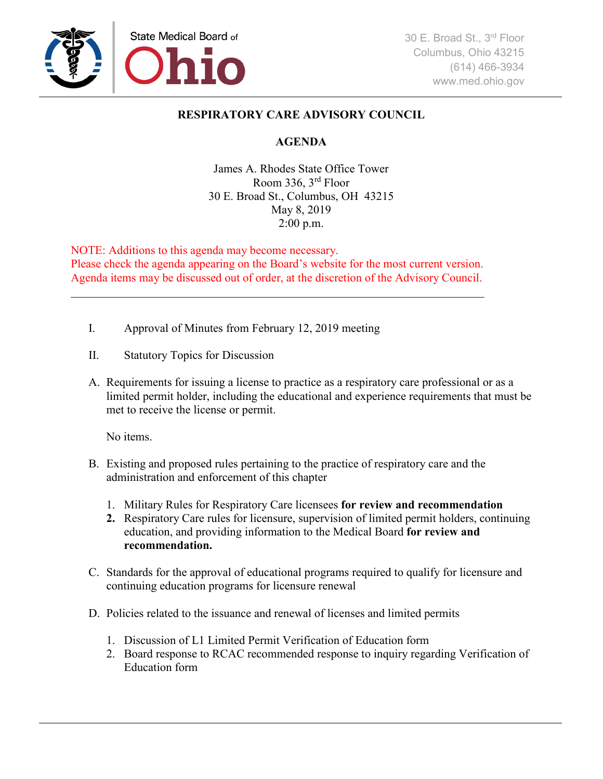

## **RESPIRATORY CARE ADVISORY COUNCIL**

## **AGENDA**

James A. Rhodes State Office Tower Room 336, 3rd Floor 30 E. Broad St., Columbus, OH 43215 May 8, 2019 2:00 p.m.

NOTE: Additions to this agenda may become necessary. Please check the agenda appearing on the Board's website for the most current version. Agenda items may be discussed out of order, at the discretion of the Advisory Council.

\_\_\_\_\_\_\_\_\_\_\_\_\_\_\_\_\_\_\_\_\_\_\_\_\_\_\_\_\_\_\_\_\_\_\_\_\_\_\_\_\_\_\_\_\_\_\_\_\_\_\_\_\_\_\_\_\_\_\_\_\_\_\_\_\_\_\_\_\_\_

- I. Approval of Minutes from February 12, 2019 meeting
- II. Statutory Topics for Discussion
- A. Requirements for issuing a license to practice as a respiratory care professional or as a limited permit holder, including the educational and experience requirements that must be met to receive the license or permit.

No items.

- B. Existing and proposed rules pertaining to the practice of respiratory care and the administration and enforcement of this chapter
	- 1. Military Rules for Respiratory Care licensees **for review and recommendation**
	- **2.** Respiratory Care rules for licensure, supervision of limited permit holders, continuing education, and providing information to the Medical Board **for review and recommendation.**
- C. Standards for the approval of educational programs required to qualify for licensure and continuing education programs for licensure renewal
- D. Policies related to the issuance and renewal of licenses and limited permits
	- 1. Discussion of L1 Limited Permit Verification of Education form
	- 2. Board response to RCAC recommended response to inquiry regarding Verification of Education form